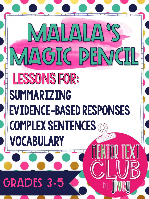### **GRADES 3-5**

### LESSONS FOR: SUMMARIZING EVIDENCE-BASED RESPONSES COMPLEX SENTENCES VOCABULARY

MAGIC PEMCIL

MALAIL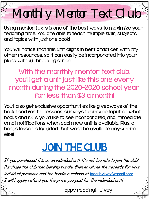### Monthly Mentor Text Club

Using mentor texts is one of the best ways to maximize your teaching time. You are able to teach multiple skills, subjects, and topics with just one book!

You will notice that this unit aligns in best practices with my other resources, so it can easily be incorporated into your plans without breaking stride.

With the monthly mentor text club, you'll get a unit just like this one every month during the 2020-2020 school year for less than \$3 a month!

You'll also get exclusive opportunities like giveaways of the book used for the lessons, surveys to provide input on what books and skills you'd like to see incorporated, and immediate email notifications when each new unit is available. Plus, a bonus lesson is included that won't be available anywhere else!

### [JOIN THE CLUB](https://www.teacherspayteachers.com/Product/MENTOR-TEXT-CLUB-by-jivey-for-Grades-3-5-bundle-4742264)

If you purchased this as an individual unit, it's not too late to join the club! Purchase the club membership bundle, then email me the receipts for your individual purchase and the bundle purchase at [ideasbyjivey@gmail.com](mailto:ideasbyjivey@gmail.com). I will happily refund you the price you paid for the individual unit!

Happy reading! -Jivey

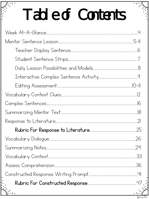## Table of Contents

|                                                  | 29  |
|--------------------------------------------------|-----|
|                                                  | .33 |
|                                                  |     |
|                                                  |     |
|                                                  |     |
| <u> 1980 - An Aonaichte ann an Comhair an t-</u> |     |
|                                                  |     |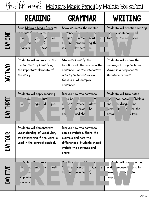$\mathcal{Y}_{\text{tr}}(\mathcal{U})$  wee $\ell$ : Malala's Magic Pencil by Malala Yousafzai

|               | <b>READING</b>                                                                                                                                                                                        | <b>GRAMMAR</b>                                                                                                                                                                                                            | WRITING                                                                                                                                             |
|---------------|-------------------------------------------------------------------------------------------------------------------------------------------------------------------------------------------------------|---------------------------------------------------------------------------------------------------------------------------------------------------------------------------------------------------------------------------|-----------------------------------------------------------------------------------------------------------------------------------------------------|
| DAY ONE       | Read Malala's Magic Pencil to<br><del>'</del> dents f<br>ົີ່າ <b>yme</b> ່<br>$g_{c}$<br>rac<br>U<br>3X<br><b>Jes</b><br>ب را<br>$\overline{2}$<br>$\mathsf{r}\mathsf{s}$<br><b>pcabular</b><br>e tex | Show students the mentor<br>tence <sup>n</sup> ' <sub>30</sub><br>r٤<br>$\overline{\phantom{a}}$ ys $\overline{\phantom{a}}'$<br>notic<br>bout<br>hg th<br>empha<br>n <sub>1</sub><br>SE<br><b>lex</b> sent<br>is l<br>e. | Students will practice writing<br>on <sup>-- ו</sup> י× sentenc<br>und<br>e the se<br>illus1<br>ices.                                               |
| DAY TWO       | Students will summarize the<br>mentor text by identifying<br>the important elements of<br>the story.                                                                                                  | Students identify the<br>functions of the words in the<br>sentence. Use the interactive<br>activity to teach/review<br>focus skill of complex<br>sentences.                                                               | Students will explain the<br>meaning of a quote from<br>Malala in a response to<br>literature prompt.                                               |
| DAY THREE     | Students will apply meaning<br>illusl<br>rabu<br>di<br>agin<br>jue.<br>$\rightarrow$ cr<br>e                                                                                                          | Discuss how the sentence<br>ld be<br>$\ddagger$<br>$\overline{I}$<br>allow<br>ther,<br>;e †<br>$\mathsf{r}$<br>he<br>st<br>o revis<br>n<br>and sho<br>ser                                                                 | Students will take notes<br>(Malala<br>two activi<br><b>DC</b><br>al Jangir<br>ind<br>and<br>re the<br>lumn<br>$\mathbf{z}$<br>n<br>similar<br>two. |
| œ<br>DAY FOUI | Students will demonstrate<br>understanding of vocabulary<br>by determining if the word is<br>used in the correct context.                                                                             | Discuss how the sentence<br>can be imitated. Share the<br>example and note the<br>differences. Students should<br>imitate the sentence and<br>share.                                                                      |                                                                                                                                                     |
| DAY FIVE      | $C_1$ $\rightarrow$ $\rightarrow$ nts<br><sup>.II</sup> - mmar<br>lу,<br>well<br>rtic<br>nc<br>30 <sub>q</sub><br>Ŀ,<br><b>Jn</b><br>$\mathcal{F}$<br>omprehe<br>pcabular                             | $\pm 0.01$<br><u>. 11</u><br><sub>∥</sub> ctice <del>f u</del><br>е<br>ting<br>sessm<br><u>I (or</u><br>e<br>$\vert$ ').<br>H<br>as a "q<br>$\alpha$                                                                      | <sup>c</sup> tu 'nts will use<br>tes and<br>e-based<br>ms to<br>evid<br>ted<br><b>st</b><br><b>Insw</b><br>la,<br>respo                             |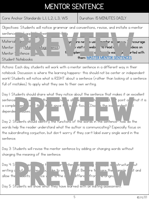#### MENTOR SENTENCE

Core Anchor Standards: L.I, L.2, L.3, W.5 | Duration: 15 MINUTES DAILY

Objectives: Students will notice grammar and conventions, revise, and imitate a mentor



Actions: Each day, students will work with a mentor sentence in a different way in their notebook. Discussion is where the learning happens- this should not be center or independent work! Students will notice what is RIGHT about a sentence (rather than looking at a sentence full of mistakes) to apply what they see to their own writing.

Day 1: Students should share what they notice about the sentence that makes it an excellent

sentence  $\mathbf{v} \cdot \mathbf{w}$  the notice all the things I have listed, but it is a complession setter if the don't since the is a focus (Discuss the independent) depender clauses. PREVIEW

Day 2: Students should identify the functions of the words in the sentence- how do the words help the reader understand what the author is communicating? Especially focus on the subordinating conjuction, but don't worry if they can't label every single word in the sentence.

Day 3: Students will revise the mentor sentence by adding or changing words without changing the meaning of the sentence.

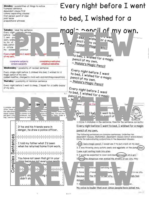

 $-0.01$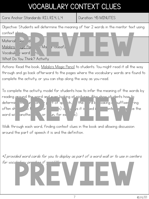#### VOCABULARY CONTEXT CLUES

Core Anchor Standards: RI.I, RI.4, L.4 | Duration: 45 MINUTES

word with another verb or noun, for example).

Objective: Students will determine the meaning of tier 2 words in the mentor text using context Material lee di  $M$ alala's  $\frac{1}{2}$ yic Pencil by Malala Yousafzai Vocabula / word What Do You Think? Activity N<br>Press die die View von die View von die View von die von die von die von die von die von die von die von die v<br>Press You Think? Activity

Actions: Read the book, Malala's Magic Pencil to students. You might read it all the way through and go back afterward to the pages where the vocabulary words are found to complete the activity, or you can stop along the way as you read.

To complete the activity, model for students how to infer the meaning of the words by reading around the word and even looking at pictures. Also show students how to determinthe undon, or part of speech, the rabooking suffixes (ing often show it is example) and ways it is used in the sentence of the sentence  $\frac{1}{2}$  $\begin{array}{|l|l|l|}\n\hline\n\text{P} & \text{or} & \text{or} & \text{or} & \text{or} & \text{or} & \text{or} & \text{or} & \text{or} & \text{or} & \text{or} & \text{or} & \text{or} & \text{or} & \text{or} & \text{or} & \text{or} & \text{or} & \text{or} & \text{or} & \text{or} & \text{or} & \text{or} & \text{or} & \text{or} & \text{or} & \text{or} & \text{or} & \text{or} & \text{or} & \text{or} & \text{or} & \text{or} & \text{or$ 

Walk through each word, finding context clues in the book and allowing discussion around the part of speech it is and the definition.

\*I provided word cards for you to display as part of a word wall or to use in centers for vocabulary practice if  $\Gamma$ PREVIEW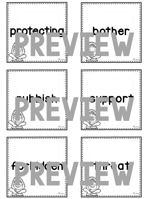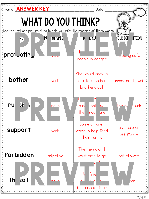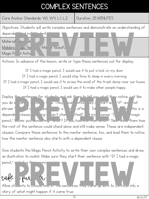#### COMPLEX SENTENCES

Core Anchor Standards: W.1, W.4, L.1, L.2 Duration: 25 MINUTES

Objectives: Students will write complex sentences and demonstrate an understanding of depende<sup>nt</sup> dinc<sup>t</sup> dent Material Jee di Malala's Juic Peil Malala Yousafz  $M$ agic Pencil Activ Material Jections: In advance of the lesson, write or type these sentences out for display:<br>Actions: In advance of the lesson, write or type these sentences out for display:

If I had a magic pencil, I would use it to put a lock on my door.

If I had a magic pencil, I would stop time to sleep in every morning.

If I had a magic pencil, I would use it to erase the smell of the trash dump near our house. If I had a magic pencil, I would use it to make other people happy.

Display the sentences for students and ask them to tell you what they notice, just like you do in mentor sentence they should office they all start with "if" and hat phrase "if I did a magic pencil is a community of the magic pencil to the sense of this is a depende clause, e ing ian't stand itself and <mark>sense. "I had magic</mark> pencil," leaves you wondering, what? If you had one, men what? " Next show them how the rest of the sentence could stand alone and still make sense. These are independent clauses. Compare these sentences to the mentor sentence, too, and lead them to notice how the mentor sentence also starts with a dependent clause. the sentences for students and ask them to tell you what they notice, just<br>it is the sentence of the same ing and the sentence could stand alone and still moke sense. "I<br>the sentence could stand alone and still moke sense.

Give students the Magic Pencil Activity to write their own complex sentences and draw an illustration to match. Make sure they start their sentence with "If I had a magic

take Hur ?

pencil," including  $t_1$  including the common

Allow students to choose one of the sentences they came up with to continue into a story of what might happen if it came true. Put<br>
Primaris to choose one or the sentences they came up with to continue into<br>
f what might happen if it came true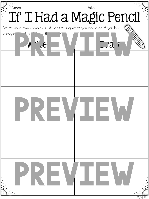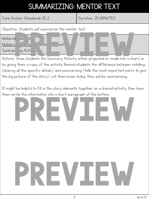#### SUMMARIZING: MENTOR TEXT

Core Anchor Standards: RL.2 Duration: 25 MINUTES

Objective: Students will summarize the mentor text.



by giving them a copy of the activity. Remind students the difference between retelling (sharing all the specific details) and summarizing (tells the most important parts to give the big picture of the story). Let them know today they will be summarizing.

It might be helpful to fill in the story elements together as a shared activity, then have them write the information into a short paragraph at the bottom.

## PREVIEW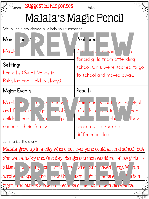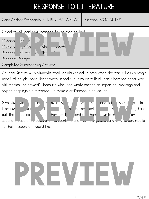#### RESPONSE TO LITERATURE

Core Anchor Standards: RL.I, RL.2, W.I, W.4, W.9 | Duration: 30 MINUTES



Actions: Discuss with students what Malala wished to have when she was little in a magic pencil. Although those things were unrealistic, discuss with students how her pencil was still magical, or powerful because what she wrote spread an important message and helped people join a movement to make a difference in education.

Give students the port over the heart state interesting the response to the check in the response to literature to ensure that the state  $\frac{1}{2}$  here they begin when they begin when they begin writing. Pass out the sponse part, or hare on the bard for them by write in a source or separate paper. You could allow students to use their completed summary to contribute. to their response if you'd like. It are on the st with the dents there is<br>the paper. You could give you'd like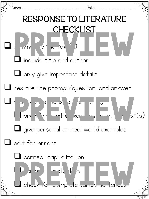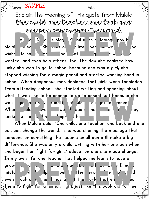Name: \_\_\_\_\_\_\_\_\_\_\_\_\_\_\_\_\_\_\_\_\_\_\_\_\_\_\_\_\_\_\_\_\_\_\_\_\_\_ Date: \_\_\_\_\_\_\_\_\_\_\_\_\_\_\_\_\_\_\_\_\_\_\_\_ SAMPLE

Explain the meaning of this quote from Malala: One child, one teacher, one book and one pen can change the world.

The book, Malala's Magic Pencil is an autobiography by Malal Jouse She tells of hife her newas little and wishe to have a magic pencil that  $\mathsf{q}$ Wanted, and even help others, too. The day she realized how<br>wanted, and even help others, too. The day she realized how lucky she was to go to school because she was a girl, she stopped wishing for a magic pencil and started working hard in school. When dangerous men declared that girls were forbidden from attending school, she started writing and speaking about what it was like to be scared to go to school just because she was a girl, and how was a right to the and how entry of When people all over the world read or heard her words, they spoke out to and here spread her When Malala said, "One child, one teacher, one book and one

pen can change the world," she was sharing the message that someone or something that seems small can still make a big difference. She was only a child writing with her one pen when she began her fight for girls' education and she made changes. In my own life, one teacher has helped me learn to have a grow  $\mathbf{d}$  of  $\mathbf{c}$  of  $\mathbf{d}$  and  $\mathbf{c}$ mistakes, which helps helps me better person. One book could even  $\alpha$  ach some hings about the orly that encourages them to fight for a human right, just like this book did for me. PREVIEW

16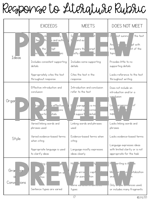### Response to Literature Rubric

|                                   | <b>EXCEEDS</b>                                                                          | <b>MEETS</b>                                                                                           | DOES NOT MEET                                                                                                                       |
|-----------------------------------|-----------------------------------------------------------------------------------------|--------------------------------------------------------------------------------------------------------|-------------------------------------------------------------------------------------------------------------------------------------|
| Ideas                             | $c$ le<br>lv i<br>$+ex$<br> th <br>e and auth<br>the<br>mpt<br>pic<br><b>BCT</b><br>-s1 | Sy<br>$\mathsf{H}$<br><b>ar</b><br>ŧ<br>and au-<br>swers the<br> ompt<br>bstly s<br>icl                | D<br>the text<br>not summo<br>Ans<br>ipt with<br>nt of the<br>limi†<br>topic                                                        |
|                                   | Includes consistent supporting<br>details                                               | Includes some supporting<br>details                                                                    | Provides little to no<br>supporting details                                                                                         |
|                                   | Appropriately cites the text<br>throughout response                                     | Cites the text in the<br>response                                                                      | Lacks reference to the text<br>throughout writing                                                                                   |
| Orgar                             | Effective introduction and<br>conclusion                                                | Introduction and conclusion<br>refer to the text                                                       | Does not include an<br>introduction and/or a                                                                                        |
|                                   | h pr<br>s effective<br>Ird<br>u wit<br>ions<br><u>ì</u> ortir<br>etails                 | E<br>paragr<br>is mo<br>unized w<br>conne<br>details<br>support                                        | conclusion<br>lof<br>organizaj<br>Ld<br>cor<br>supp                                                                                 |
| Style                             | Varied linking words and<br>phrases used                                                | Linking words and phrases<br>used                                                                      | Lacks linking words and<br>phrases                                                                                                  |
|                                   | Varied evidence-based terms<br>when citing                                              | Evidence-based terms when<br>citing                                                                    | Lacks evidence-based terms<br>Language expresses ideas                                                                              |
|                                   | Appropriate language is used<br>to clarify ideas                                        | Language mostly expresses<br>ideas clearly                                                             | with limited clarity or is not<br>appropriate for the task                                                                          |
| Grar<br>har<br>a<br>Conve<br>ions | <sup>L</sup> ing i<br>gik<br>on ar<br>in (<br>tion<br>Sentence types are varied         | $H_{\mathbb{C}}$<br>iy.<br>capit<br>w error<br>or pund<br>tion<br>UUME VG TUTTUTTIIT UUNTUTTU<br>types | writing is ill<br>le<br>Ma<br><i>s</i> italization<br>۱'n<br>and<br>'n<br>Only Sumple Summences used,<br>or includes many fragments |
|                                   |                                                                                         | 7                                                                                                      | C jivey 2020                                                                                                                        |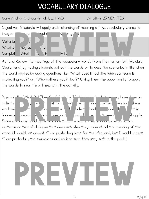#### VOCABULARY DIALOGUE

Core Anchor Standards: RI.4, L.4, W.3 Duration: 25 MINUTES

Objectives: Students will apply understanding of meaning of the vocabulary words to



Magic Pencil by having students act out the words or to describe scenarios in life when the word applies by asking questions like, "What does it look like when someone is protecting you?" or, "Who bothers you? How?" Giving them the opportunity to apply the words to real life will help with the activity.

Pass out the What Did They Say 2 Activity. If this is the first time they have done an activity it  $\sqrt{m}$  this of to complete the first one ogether, hen have hemi work with a partner to complete the rest. Students should be students shown at is happening in each is cristed the view the vocabulary words to see which might apply. Some scenarios could apply to more than one word. They should come up with a sentence or two of dialogue that demonstrates they understand the meaning of the word. (I would not accept, "I am protecting him." for the lifeguard, but I would accept, "I am protecting the swimmers and making sure they stay safe in the pool.") the What Did They Sound Activity. If this is the first time they have done<br>
If you are the first one between the perfection of the same words in the same words of the same words in the same words of the same words of the s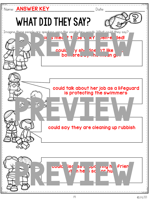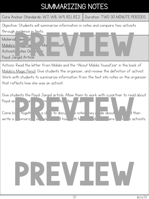#### SUMMARIZING NOTES

Core Anchor Standards: W.7, W.8, W.9, RI.1, RI.2 Duration: TWO 30 MINUTE PERIODS

Objective: Students will summarize information in notes and compare two activists through evidence in texts.



Actions: Read the letter from Malala and the "About Malala Yousafzai" in the back of Malala's Magic Pencil. Give students the organizer, and review the definition of activist. Work with students to summarize information from the text into notes on the organizer that reflects how she was an activist.

Give students the Payal Jangid article. Allow them to work with a partner to read about

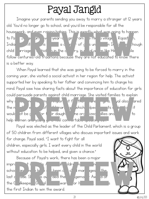### Payal Jangid

Imagine your parents sending you away to marry a stranger at 12 years old. You'd no longer go to school, and you'd be responsible for all the housework, and even raising babies. This is exactly what was going to happen to Payal Jangid, an eleven-clare from the Hindi village in Rajasthan,  $\Gamma$ India, and india. India. This india. India. In India. In India. Even though child in riage is bid hin the correct ry, in rural areas like Hinsla, people follow centuries-old traditions because they are not educated to know there is a better way. ework, and even raising babies. This is exactly what was going to happen<br>a big the state of the state of the state of the state of the state of the state of the state of the state of the state of the state of the state of

When Payal learned that she was going to be forced to marry in the coming year, she visited a social activist in her region for help. The activist supported her by speaking to her father and convincing him to change his mind. Payal saw how sharing facts about the importance of education for girls could persuade parents against child marriage. She visited families to explain why some indicate  $\pi$  in import of  $f$  the function  $f$  is important for the function  $f$ the negative effects of children arrivative marriage, which helped parts understand it would of be good for their daughter. She organized rallies and protests to to help women and young girls feel comfortable speaking out. Produce particle is a distribution of the parties of the control of the control of the control of the control of the control of the control of the control of the control of the control of the child Parliament, which is a a

Payal was elected as the leader of the Child Parliament, which is a group of 50 children from different villages who discuss important issues and work for change. Payal said, "I want to fight for all children, especially girls. I want every child in the world without education to be helped, and given a chance."

Because of Payal's work, there has been a major  $\mathsf{imprc}$  in Hinsland in Hinsland in Hinsland now at the  $\mathsf{h}$ school, and here  $\frac{1}{2}$  in the notion of  $\frac{1}{2}$  marriages in the  $\mathsf{last}\ \mathsf{c}$  and  $\mathsf{c}\ \mathsf{S}$  are vas avarighed the  $\mathsf{c}$  demokration at a variant at a variant at a variant at a variant at a variant at a variant at a variant at a variant at a variant at a variant at a variant a the Guilkeepers Girls all awards for her was for her was for her work. She was well was well as  $\frac{1}{2}$ the first Indian to win the award.  $\begin{array}{ccc} \begin{array}{ccc} \cdot & \cdot & \cdot & \cdot \\ \cdot & \cdot & \cdot & \cdot \\ \cdot & \cdot & \cdot & \cdot \\ \cdot & \cdot & \cdot & \cdot \\ \cdot & \cdot & \cdot & \cdot \\ \cdot & \cdot & \cdot & \cdot \\ \cdot & \cdot & \cdot & \cdot \\ \cdot & \cdot & \cdot & \cdot \end{array} \\ \end{array}$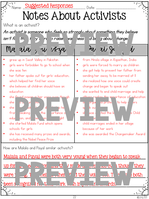

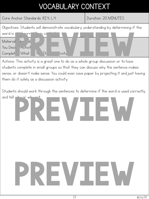#### VOCABULARY CONTEXT

Core Anchor Standards: RI.4, L.4 Duration: 20 MINUTES

Objectives: Students will demonstrate vocabulary understanding by determining if the



students complete in small groups so that they can discuss why the sentence makes sense, or doesn't make sense. You could even save paper by projecting it and just having them do it solely as a discussion activity.

Students should work through the sentences to determine if the word is used correctly, and tell why or why not

## PREVIEW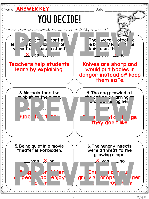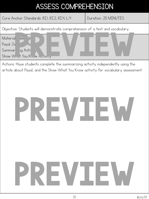#### ASSESS COMPREHENSION

Core Anchor Standards: RI.I, RI.2, RI.4, L.4 | Duration: 25 MINUTES

Objective: Students will demonstrate comprehension of a text and vocabulary.



Actions: Have students complete the summarizing activity independently using the article about Payal, and the Show What You Know activity for vocabulary assessment.

## PREVIEW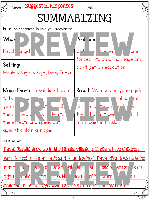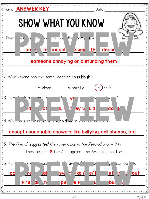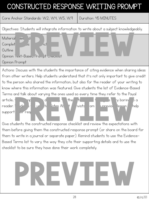#### CONSTRUCTED RESPONSE WRITING PROMPT

Core Anchor Standards: W.2, W.4, W.5, W.9 | Duration: 45 MINUTES

Objectives: Students will integrate information to write about a subject knowledgeably.



Actions: Discuss with the students the importance of citing evidence when sharing ideas from other writers. Help students understand that it's not only important to give credit to the person who shared the information, but also for the reader of your writing to know where this information was featured. Give students the list of Evidence-Based Terms and talk about varying the ones used so every time they refer to the Payal

article,  $\begin{array}{ccc} \n\mathsf{m}\mathsf{r} & \mathsf{d} & \mathsf{d}\n\end{array}$  the  $\mathsf{f}\mathsf{i}$  article,  $\mathsf{r}\mathsf{j}$  article. reader. Students with the About Activists from the previous lesson to help support ein resp article, the constructed response checklist and review the expectations with a constructed response checklist and review the expectations with  $\frac{1}{2}$ 

them before giving them the constructed response prompt (or share on the board for them to write in a journal or separate paper). Remind students to use the Evidence-Based Terms list to vary the way they cite their supporting details and to use the checklist to be sure they have done their work completely.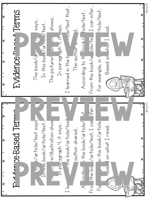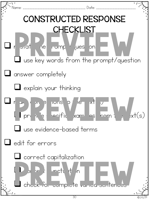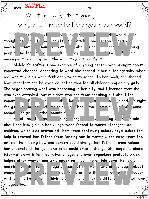Name: \_\_\_\_\_\_\_\_\_\_\_\_\_\_\_\_\_\_\_\_\_\_\_\_\_\_\_\_\_\_\_\_\_\_\_\_\_\_ Date: \_\_\_\_\_\_\_\_\_\_\_\_\_\_\_\_\_\_\_\_\_\_\_\_ SAMPLE

What are ways that young people can bring about important changes in our world?

You are about the can be important changes in the world, even in though he in it of adults. It of take one ensone begin movem <sub>th</sub>out wsu youn't about change alone. Whoung people ind the velocity in the very can inspire to their He in the int of adults. The int of the international part of the international part of the international part of the international part of the international part of the international part of the international part of the

message, too, and spread the word to join their fight.

Malala Yousafzai is one example of a young person who brought about important changes. According to what she shared in her autobiography, when she was ten, girls were forbidden to go to school. In her book, she shared how important she believed education was for all children, especially girls. She began sharing what was happening in her city, and I learned that she was even attacked, but it didn't stop her from speaking out about the

import of the same of the summan of the summan of the fight for girls of and detection and the Malala Fund, which opens school for girls other countrie Pal Jangid is and to the changemaker. According to the article mport<br>for girls in the countrie of the school or girls in her village were forced to marry strangers as<br>about her life, girls in her village were forced to marry strangers as

children, which also prevented them from continuing school. Payal asked for help to prevent her father from forcing her to marry. I can infer from the article that seeing how one person could change her father's mind helped her understand that just one voice could create change. She began to share information with families in her village, and even organized protests which helped other women and girls speak out, too. The article says that child

marric is de in the lage because of her work one all brough about change en out of the she was elected in the article that she was elected leader of the hild Parliament, hich helped children make a different children meir own village, too. Process and the set out, too. The drifter save that child<br>
Process and the set of the save of the save the save the save the save the save the save the save the save the save the save the save the save the save of the same

© jivey 2019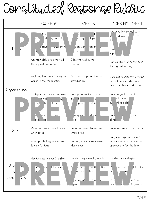### Constructed Response Rubric

|                                   | <b>EXCEEDS</b>                                                                                | <b>MEETS</b>                                                                                                                 | DOES NOT MEET                                                                                                                     |
|-----------------------------------|-----------------------------------------------------------------------------------------------|------------------------------------------------------------------------------------------------------------------------------|-----------------------------------------------------------------------------------------------------------------------------------|
| Id<br><sub>5</sub>                | the<br>ig on topic<br>sl<br>ectr<br><u>ni supportin</u><br>'s cons<br>άh,                     | An<br>灶<br>y stay:<br><b>Topic</b><br>m<br>ludes sor<br><b>uppor</b><br>rails                                                | Answers the prompt with<br>of the<br>lir<br>d developm<br>$\frac{1}{2}$<br>Prov<br>١O<br>suppl                                    |
|                                   | Appropriately cites the text<br>throughout response                                           | Cites the text in the<br>response                                                                                            | Lacks reference to the text<br>throughout writing                                                                                 |
| Organization                      | Restates the prompt using key<br>words in the introduction                                    | Restates the prompt in the<br>introduction                                                                                   | Does not restate the prompt<br>or tie in key words from the<br>prompt in the introduction                                         |
|                                   | Each paragraph is effectively<br>d wit<br>bn:<br>$at = at$<br>sup<br> †ir                     | Each paragraph is mostly<br>$z\epsilon$<br>or<br>he<br>details<br>upport<br>ar                                               | Lacks organization of<br>ections and/<br>d.<br>rting deta<br><b>SU</b>                                                            |
| Style                             | ds and<br>iking!<br>ie.<br>ase.                                                               | nd phr<br>king word<br>ls.<br>led                                                                                            | Lack<br>ds and<br>phras                                                                                                           |
|                                   | Varied evidence-based terms<br>when citing                                                    | Evidence-based terms used<br>when citing                                                                                     | Lacks evidence-based terms                                                                                                        |
|                                   | Appropriate language is used<br>to clarify ideas                                              | Language mostly expresses<br>ideas clearly                                                                                   | Language expresses ideas<br>with limited clarity or is not<br>appropriate for the task                                            |
| Grar<br>a<br>Conve<br><b>IONS</b> | Handwriting is clear & legible<br>talization d<br>erry<br>n (<br>$\sim +$<br>Ьq<br>ten.<br>Vр | Handwriting is mostly legible<br>capit<br><b>xtion</b><br>Α<br>error<br>tion<br>or punc<br>ne variat<br>le.<br>in sen<br>pes | Handwriting is illegible<br>talization<br>$M_{\odot}$<br>errors in<br>an<br>iuc<br>p<br>Only<br>hces used,<br>fragments<br>or ind |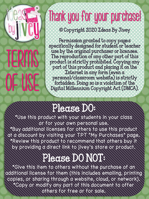

### Thank you for your purchase!

© Copyright 2020 Ideas By Jivey

Permission granted to copy pages specifically designed for student or teacher use by the original purchaser or licensee. The reproduction of any other part of this product is strictly prohibited. Copying any part of this product and placing it on the Internet in any form (even a personal/classroom website) is strictly forbidden. Doing so is a violation of the Digital Millennium Copyright Act (DMCA).

### Please DO:

\*Use this product with your students in your class or for your own personal use.

\*Buy additional licenses for others to use this product at a discount by visiting your TPT "My Purchases" page. \*Review this product to recommend that others buy it by providing a direct link to jivey's store or product.

### Please DO NOT:

\*Give this item to others without the purchase of an additional license for them (this includes emailing, printing copies, or sharing through a website, cloud, or network). \*Copy or modify any part of this document to offer others for free or for sale.